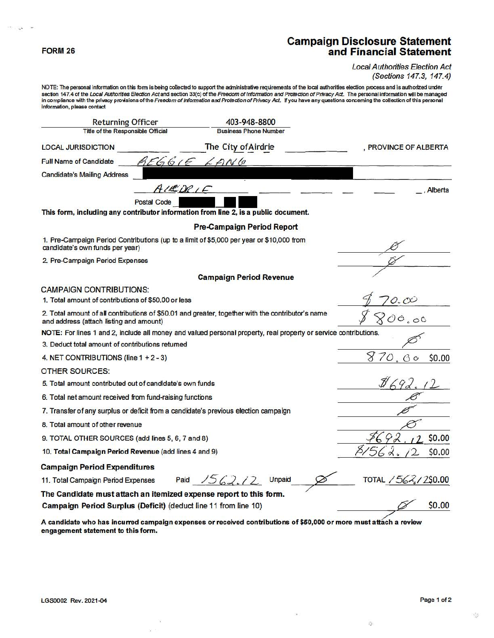#### FORM 26

 $\sim 10^6$ **Ser** 

# **Campaign Disclosure Statement**<br>and Financial Statement

#### **Local Authorities Election Act** (Sections 147.3, 147.4)

NOTE: The personal information on this form is being collected to support the administrative requirements of the local authorities election process and is authorized under<br>section 147.4 of the *Local Authorities Election A* information, please contact

| <b>Returning Officer</b>                                                                                                    | 403-948-8800                                                                                                     |                              |
|-----------------------------------------------------------------------------------------------------------------------------|------------------------------------------------------------------------------------------------------------------|------------------------------|
| <b>Title of the Responsible Official</b>                                                                                    | <b>Business Phone Number</b>                                                                                     |                              |
| <b>LOCAL JURISDICTION</b>                                                                                                   | The City of Airdrie                                                                                              | PROVINCE OF ALBERTA          |
| <b>Full Name of Candidate</b>                                                                                               | 326616<br>LANG                                                                                                   |                              |
| <b>Candidate's Mailing Address</b>                                                                                          |                                                                                                                  |                              |
|                                                                                                                             | ALEDRIF                                                                                                          | Alberta                      |
| Postal Code                                                                                                                 |                                                                                                                  |                              |
|                                                                                                                             | This form, including any contributor information from line 2, is a public document.                              |                              |
|                                                                                                                             | <b>Pre-Campaign Period Report</b>                                                                                |                              |
| 1. Pre-Campaign Period Contributions (up to a limit of \$5,000 per year or \$10,000 from<br>candidate's own funds per year) |                                                                                                                  |                              |
| 2. Pre-Campaign Period Expenses                                                                                             |                                                                                                                  |                              |
|                                                                                                                             | <b>Campaign Period Revenue</b>                                                                                   |                              |
| CAMPAIGN CONTRIBUTIONS:                                                                                                     |                                                                                                                  |                              |
| 1. Total amount of contributions of \$50.00 or less                                                                         |                                                                                                                  | O.OC                         |
| and address (attach listing and amount)                                                                                     | 2. Total amount of all contributions of \$50.01 and greater, together with the contributor's name                | 00.00                        |
|                                                                                                                             | NOTE: For lines 1 and 2, include all money and valued personal property, real property or service contributions. |                              |
| 3. Deduct total amount of contributions returned                                                                            |                                                                                                                  |                              |
| 4. NET CONTRIBUTIONS (line $1 + 2 - 3$ )                                                                                    |                                                                                                                  | $\circ$<br>\$0.00<br>$\circ$ |
| OTHER SOURCES:                                                                                                              |                                                                                                                  |                              |
| 5. Total amount contributed out of candidate's own funds                                                                    |                                                                                                                  |                              |
| 6. Total net amount received from fund-raising functions                                                                    |                                                                                                                  |                              |
|                                                                                                                             | 7. Transfer of any surplus or deficit from a candidate's previous election campaign                              |                              |
| 8. Total amount of other revenue                                                                                            |                                                                                                                  |                              |
| 9. TOTAL OTHER SOURCES (add lines 5, 6, 7 and 8)                                                                            | \$0.00                                                                                                           |                              |
| 10. Total Campaign Period Revenue (add lines 4 and 9)                                                                       | \$0.00                                                                                                           |                              |
| <b>Campaign Period Expenditures</b>                                                                                         |                                                                                                                  |                              |
| 11. Total Campaign Period Expenses                                                                                          | Paid $1562.12$<br>Unpaid                                                                                         | TOTAL / 562, / 2\$0.00       |
|                                                                                                                             | The Candidate must attach an itemized expense report to this form.                                               |                              |
| Campaign Period Surplus (Deficit) (deduct line 11 from line 10)                                                             |                                                                                                                  | \$0.00                       |
|                                                                                                                             |                                                                                                                  |                              |

A candidate who has incurred campaign expenses or received contributions of \$50,000 or more must attach a review engagement statement to this form.

室

S)

廢

 $\mathcal{D}_{\mathcal{A}}$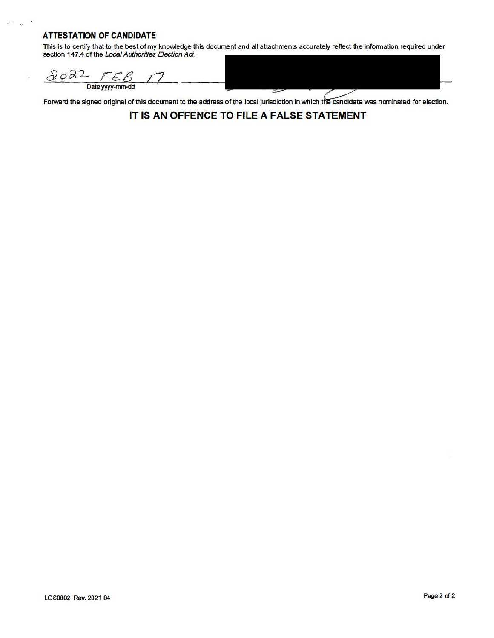### **ATTESTATION OF CANDIDATE**

ý.

This is to certify that to the best of my knowledge this document and all attachments accurately reflect the information required under section 147.4 of the Local Authorities Election Act.

 $2022$ FEB Date yyyy-mm-dd

Forward the signed original of this document to the address of the local jurisdiction in which the candidate was nominated for election.

**IT IS AN OFFENCE TO FILE A FALSE STATEMENT**